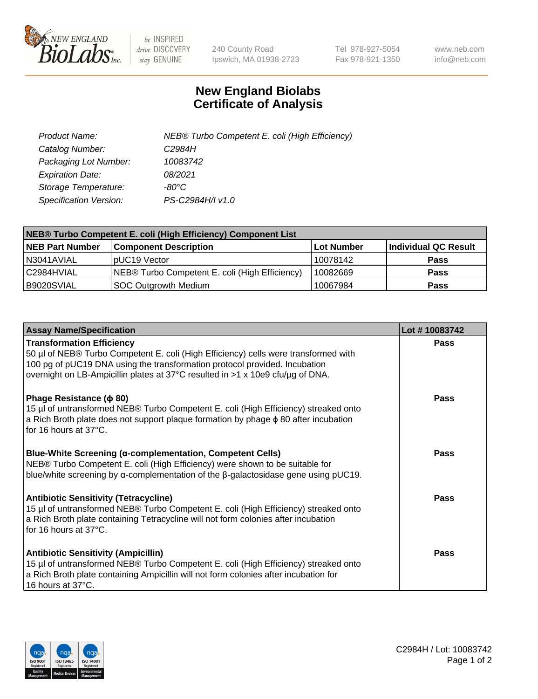

 $be$  INSPIRED drive DISCOVERY stay GENUINE

240 County Road Ipswich, MA 01938-2723 Tel 978-927-5054 Fax 978-921-1350 www.neb.com info@neb.com

## **New England Biolabs Certificate of Analysis**

| Product Name:           | NEB® Turbo Competent E. coli (High Efficiency) |
|-------------------------|------------------------------------------------|
| Catalog Number:         | C2984H                                         |
| Packaging Lot Number:   | 10083742                                       |
| <b>Expiration Date:</b> | 08/2021                                        |
| Storage Temperature:    | $-80^{\circ}$ C                                |
| Specification Version:  | PS-C2984H/I v1.0                               |

| NEB® Turbo Competent E. coli (High Efficiency) Component List |                                                |            |                      |  |
|---------------------------------------------------------------|------------------------------------------------|------------|----------------------|--|
| <b>NEB Part Number</b>                                        | <b>Component Description</b>                   | Lot Number | Individual QC Result |  |
| N3041AVIAL                                                    | pUC19 Vector                                   | 10078142   | <b>Pass</b>          |  |
| C2984HVIAL                                                    | NEB® Turbo Competent E. coli (High Efficiency) | 10082669   | <b>Pass</b>          |  |
| B9020SVIAL                                                    | <b>SOC Outgrowth Medium</b>                    | 10067984   | <b>Pass</b>          |  |

| <b>Assay Name/Specification</b>                                                                                                                                                                                                                                                         | Lot #10083742 |
|-----------------------------------------------------------------------------------------------------------------------------------------------------------------------------------------------------------------------------------------------------------------------------------------|---------------|
| <b>Transformation Efficiency</b><br>50 µl of NEB® Turbo Competent E. coli (High Efficiency) cells were transformed with<br>100 pg of pUC19 DNA using the transformation protocol provided. Incubation<br>overnight on LB-Ampicillin plates at 37°C resulted in >1 x 10e9 cfu/µg of DNA. | Pass          |
| Phage Resistance ( $\phi$ 80)<br>15 µl of untransformed NEB® Turbo Competent E. coli (High Efficiency) streaked onto<br>a Rich Broth plate does not support plaque formation by phage $\phi$ 80 after incubation<br>l for 16 hours at 37°C.                                             | Pass          |
| <b>Blue-White Screening (α-complementation, Competent Cells)</b><br>NEB® Turbo Competent E. coli (High Efficiency) were shown to be suitable for<br>blue/white screening by $\alpha$ -complementation of the $\beta$ -galactosidase gene using pUC19.                                   | Pass          |
| <b>Antibiotic Sensitivity (Tetracycline)</b><br>15 µl of untransformed NEB® Turbo Competent E. coli (High Efficiency) streaked onto<br>a Rich Broth plate containing Tetracycline will not form colonies after incubation<br>for 16 hours at 37°C.                                      | Pass          |
| <b>Antibiotic Sensitivity (Ampicillin)</b><br>15 µl of untransformed NEB® Turbo Competent E. coli (High Efficiency) streaked onto<br>a Rich Broth plate containing Ampicillin will not form colonies after incubation for<br>16 hours at 37°C.                                          | Pass          |